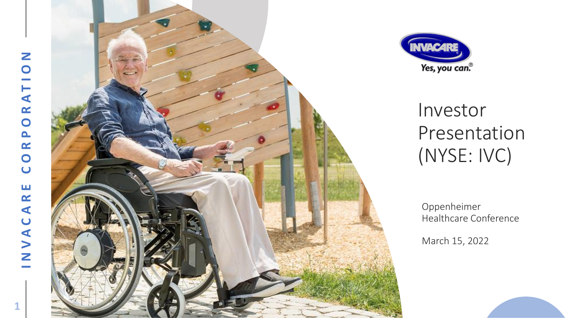$\mathbf{1}$ 





# Investor Presentation (NYSE: IVC)

Oppenheimer Healthcare Conference

March 15, 2022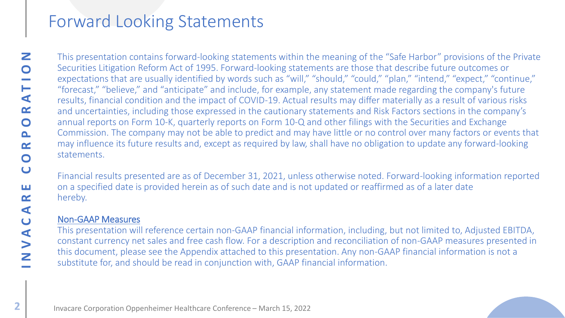# Forward Looking Statements

INVACARE CORPORATION Z  $\bullet$ **Contract**  $\vdash$  $\blacktriangleleft$  $\alpha$  $\bullet$  $\mathbf{\Omega}$  $\alpha$  $\bullet$  $\bullet$ ш  $\alpha$  $\blacktriangleleft$  $\overline{\mathbf{C}}$ NVA

This presentation contains forward-looking statements within the meaning of the "Safe Harbor" provisions of the Private Securities Litigation Reform Act of 1995. Forward-looking statements are those that describe future outcomes or expectations that are usually identified by words such as "will," "should," "could," "plan," "intend," "expect," "continue," "forecast," "believe," and "anticipate" and include, for example, any statement made regarding the company's future results, financial condition and the impact of COVID-19. Actual results may differ materially as a result of various risks and uncertainties, including those expressed in the cautionary statements and Risk Factors sections in the company's annual reports on Form 10-K, quarterly reports on Form 10-Q and other filings with the Securities and Exchange Commission. The company may not be able to predict and may have little or no control over many factors or events that may influence its future results and, except as required by law, shall have no obligation to update any forward-looking statements. .

Financial results presented are as of December 31, 2021, unless otherwise noted. Forward-looking information reported on a specified date is provided herein as of such date and is not updated or reaffirmed as of a later date hereby.

### Non-GAAP Measures .

This presentation will reference certain non-GAAP financial information, including, but not limited to, Adjusted EBITDA, constant currency net sales and free cash flow. For a description and reconciliation of non-GAAP measures presented in this document, please see the Appendix attached to this presentation. Any non-GAAP financial information is not a substitute for, and should be read in conjunction with, GAAP financial information.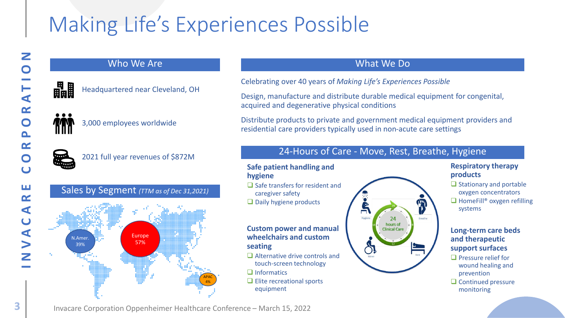# Making Life's Experiences Possible

### Who We Are



Headquartered near Cleveland, OH



3,000 employees worldwide



2021 full year revenues of \$872M

### Sales by Segment *(TTM as of Dec 31,2021)*



## What We Do

Celebrating over 40 years of *Making Life's Experiences Possible*

Design, manufacture and distribute durable medical equipment for congenital, acquired and degenerative physical conditions

Distribute products to private and government medical equipment providers and residential care providers typically used in non-acute care settings

## 24-Hours of Care - Move, Rest, Breathe, Hygiene

#### **Safe patient handling and hygiene**

- ❑ Safe transfers for resident and caregiver safety
- ❑ Daily hygiene products

#### **Custom power and manual wheelchairs and custom seating**

- ❑ Alternative drive controls and touch-screen technology
- ❑ Informatics
- ❑ Elite recreational sports equipment



#### **Respiratory therapy products**

❑ Stationary and portable oxygen concentrators ❑ HomeFill® oxygen refilling systems

#### **Long-term care beds and therapeutic support surfaces**

- ❑ Pressure relief for wound healing and prevention
- ❑ Continued pressure monitoring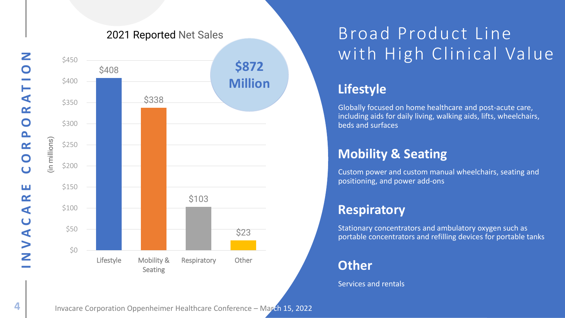

## 2021 Reported Net Sales

# Broad Product Line with High Clinical Value

## **Lifestyle**

Globally focused on home healthcare and post-acute care, including aids for daily living, walking aids, lifts, wheelchairs, beds and surfaces

## **Mobility & Seating**

Custom power and custom manual wheelchairs, seating and positioning, and power add-ons

## **Respiratory**

Stationary concentrators and ambulatory oxygen such as portable concentrators and refilling devices for portable tanks

## **Other**

Services and rentals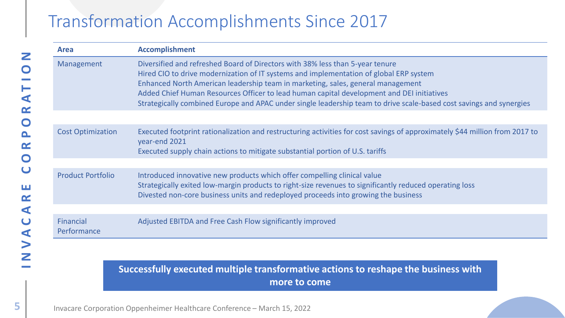# Transformation Accomplishments Since 2017

| <b>Area</b>              | <b>Accomplishment</b>                                                                                                                                                                                                                                                                                                                                                                                                                                                          |
|--------------------------|--------------------------------------------------------------------------------------------------------------------------------------------------------------------------------------------------------------------------------------------------------------------------------------------------------------------------------------------------------------------------------------------------------------------------------------------------------------------------------|
| Management               | Diversified and refreshed Board of Directors with 38% less than 5-year tenure<br>Hired CIO to drive modernization of IT systems and implementation of global ERP system<br>Enhanced North American leadership team in marketing, sales, general management<br>Added Chief Human Resources Officer to lead human capital development and DEI initiatives<br>Strategically combined Europe and APAC under single leadership team to drive scale-based cost savings and synergies |
|                          |                                                                                                                                                                                                                                                                                                                                                                                                                                                                                |
| <b>Cost Optimization</b> | Executed footprint rationalization and restructuring activities for cost savings of approximately \$44 million from 2017 to<br>year-end 2021<br>Executed supply chain actions to mitigate substantial portion of U.S. tariffs                                                                                                                                                                                                                                                  |
|                          |                                                                                                                                                                                                                                                                                                                                                                                                                                                                                |
| <b>Product Portfolio</b> | Introduced innovative new products which offer compelling clinical value<br>Strategically exited low-margin products to right-size revenues to significantly reduced operating loss<br>Divested non-core business units and redeployed proceeds into growing the business                                                                                                                                                                                                      |
|                          |                                                                                                                                                                                                                                                                                                                                                                                                                                                                                |
| Financial<br>Performance | Adjusted EBITDA and Free Cash Flow significantly improved                                                                                                                                                                                                                                                                                                                                                                                                                      |
|                          |                                                                                                                                                                                                                                                                                                                                                                                                                                                                                |

**Successfully executed multiple transformative actions to reshape the business with more to come**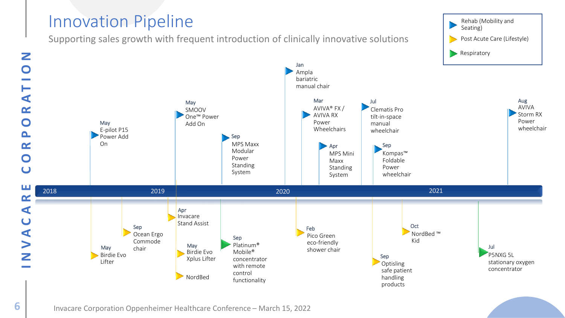## Innovation Pipeline

Supporting sales growth with frequent introduction of clinically innovative solutions Rehab (Mobility and Seating) Post Acute Care (Lifestyle) **Respiratory** Jan

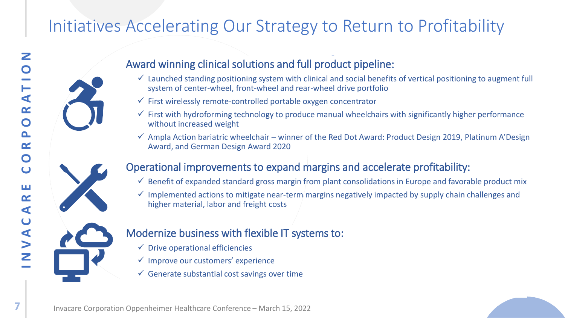# Initiatives Accelerating Our Strategy to Return to Profitability



- $\checkmark$  Launched standing positioning system with clinical and social benefits of vertical positioning to augment full system of center-wheel, front-wheel and rear-wheel drive portfolio
- $\checkmark$  First wirelessly remote-controlled portable oxygen concentrator
- $\checkmark$  First with hydroforming technology to produce manual wheelchairs with significantly higher performance without increased weight
- $\checkmark$  Ampla Action bariatric wheelchair winner of the Red Dot Award: Product Design 2019, Platinum A'Design Award, and German Design Award 2020

## Operational improvements to expand margins and accelerate profitability:

- $\checkmark$  Benefit of expanded standard gross margin from plant consolidations in Europe and favorable product mix
- $\checkmark$  Implemented actions to mitigate near-term margins negatively impacted by supply chain challenges and higher material, labor and freight costs

## Modernize business with flexible IT systems to:

- $\checkmark$  Drive operational efficiencies
- $\checkmark$  Improve our customers' experience
- $\checkmark$  Generate substantial cost savings over time

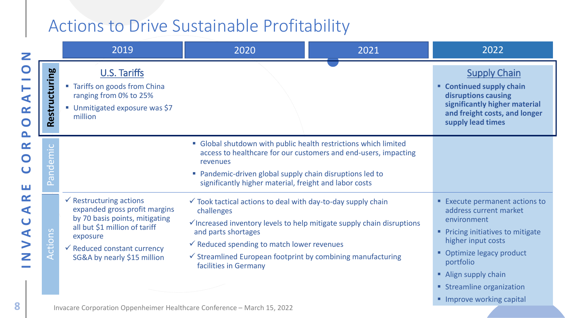# Actions to Drive Sustainable Profitability

| U.S. Tariffs<br>" Tariffs on goods from China                                                                                                                                                                               |                                                                                            |                                                                                                                                                                                                                                                                                                                                                                                                                                                                                                                                                  |
|-----------------------------------------------------------------------------------------------------------------------------------------------------------------------------------------------------------------------------|--------------------------------------------------------------------------------------------|--------------------------------------------------------------------------------------------------------------------------------------------------------------------------------------------------------------------------------------------------------------------------------------------------------------------------------------------------------------------------------------------------------------------------------------------------------------------------------------------------------------------------------------------------|
| Restructuring<br>ranging from 0% to 25%<br>■ Unmitigated exposure was \$7<br>million                                                                                                                                        |                                                                                            | <b>Supply Chain</b><br>" Continued supply chain<br>disruptions causing<br>significantly higher material<br>and freight costs, and longer<br>supply lead times                                                                                                                                                                                                                                                                                                                                                                                    |
|                                                                                                                                                                                                                             | revenues                                                                                   |                                                                                                                                                                                                                                                                                                                                                                                                                                                                                                                                                  |
| $\checkmark$ Restructuring actions<br>expanded gross profit margins<br>by 70 basis points, mitigating<br>all but \$1 million of tariff<br>exposure<br>$\checkmark$ Reduced constant currency<br>SG&A by nearly \$15 million | challenges<br>and parts shortages<br>facilities in Germany                                 | <b>Execute permanent actions to</b><br>address current market<br>environment<br>• Pricing initiatives to mitigate<br>higher input costs<br>Optimize legacy product<br>portfolio<br>Align supply chain<br>• Streamline organization                                                                                                                                                                                                                                                                                                               |
|                                                                                                                                                                                                                             | $\overline{C}$<br>emi<br>Pand<br>$\Omega$<br>ction <sub>s</sub><br>$\bar{\bm{\mathsf{f}}}$ | • Global shutdown with public health restrictions which limited<br>access to healthcare for our customers and end-users, impacting<br>• Pandemic-driven global supply chain disruptions led to<br>significantly higher material, freight and labor costs<br>$\checkmark$ Took tactical actions to deal with day-to-day supply chain<br>$\checkmark$ Increased inventory levels to help mitigate supply chain disruptions<br>$\checkmark$ Reduced spending to match lower revenues<br>√ Streamlined European footprint by combining manufacturing |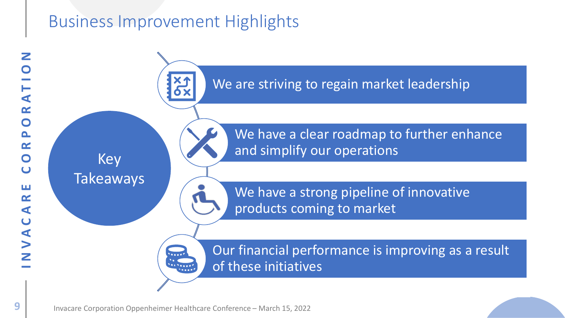# Business Improvement Highlights

INVACARE CORPORATION Z  $\blacktriangleleft$  $\alpha$  $\mathbf O$  $\mathbf{\Omega}$  $\alpha$  $\bullet$  $\cup$ ш  $\alpha$  $\blacktriangleleft$  $\overline{\mathsf{C}}$  $\blacktriangleleft$  $\blacktriangleright$ Z